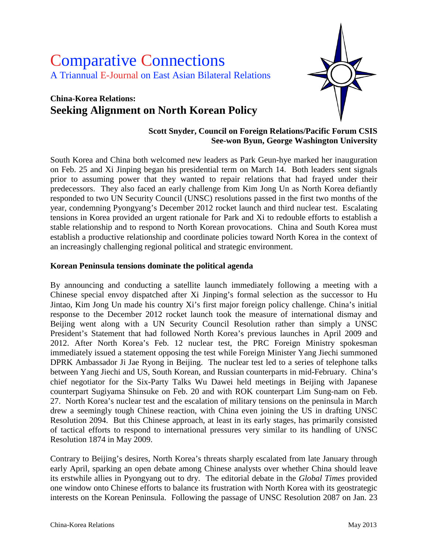# Comparative Connections A Triannual E-Journal on East Asian Bilateral Relations

## **China-Korea Relations: Seeking Alignment on North Korean Policy**



#### **Scott Snyder, Council on Foreign Relations/Pacific Forum CSIS See-won Byun, George Washington University**

South Korea and China both welcomed new leaders as Park Geun-hye marked her inauguration on Feb. 25 and Xi Jinping began his presidential term on March 14. Both leaders sent signals prior to assuming power that they wanted to repair relations that had frayed under their predecessors. They also faced an early challenge from Kim Jong Un as North Korea defiantly responded to two UN Security Council (UNSC) resolutions passed in the first two months of the year, condemning Pyongyang's December 2012 rocket launch and third nuclear test. Escalating tensions in Korea provided an urgent rationale for Park and Xi to redouble efforts to establish a stable relationship and to respond to North Korean provocations. China and South Korea must establish a productive relationship and coordinate policies toward North Korea in the context of an increasingly challenging regional political and strategic environment.

#### **Korean Peninsula tensions dominate the political agenda**

By announcing and conducting a satellite launch immediately following a meeting with a Chinese special envoy dispatched after Xi Jinping's formal selection as the successor to Hu Jintao, Kim Jong Un made his country Xi's first major foreign policy challenge. China's initial response to the December 2012 rocket launch took the measure of international dismay and Beijing went along with a UN Security Council Resolution rather than simply a UNSC President's Statement that had followed North Korea's previous launches in April 2009 and 2012. After North Korea's Feb. 12 nuclear test, the PRC Foreign Ministry spokesman immediately issued a statement opposing the test while Foreign Minister Yang Jiechi summoned DPRK Ambassador Ji Jae Ryong in Beijing. The nuclear test led to a series of telephone talks between Yang Jiechi and US, South Korean, and Russian counterparts in mid-February. China's chief negotiator for the Six-Party Talks Wu Dawei held meetings in Beijing with Japanese counterpart Sugiyama Shinsuke on Feb. 20 and with ROK counterpart Lim Sung-nam on Feb. 27. North Korea's nuclear test and the escalation of military tensions on the peninsula in March drew a seemingly tough Chinese reaction, with China even joining the US in drafting UNSC Resolution 2094. But this Chinese approach, at least in its early stages, has primarily consisted of tactical efforts to respond to international pressures very similar to its handling of UNSC Resolution 1874 in May 2009.

Contrary to Beijing's desires, North Korea's threats sharply escalated from late January through early April, sparking an open debate among Chinese analysts over whether China should leave its erstwhile allies in Pyongyang out to dry. The editorial debate in the *Global Times* provided one window onto Chinese efforts to balance its frustration with North Korea with its geostrategic interests on the Korean Peninsula. Following the passage of UNSC Resolution 2087 on Jan. 23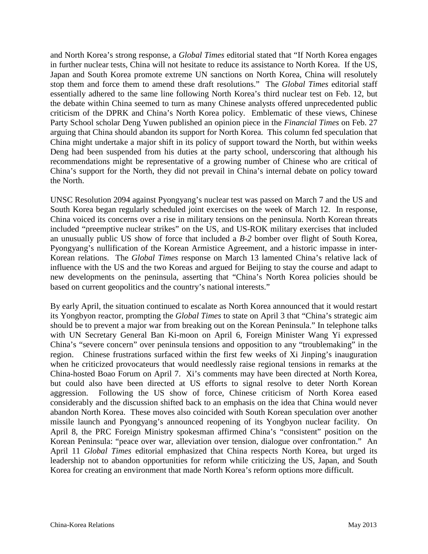and North Korea's strong response, a *Global Times* editorial stated that "If North Korea engages in further nuclear tests, China will not hesitate to reduce its assistance to North Korea. If the US, Japan and South Korea promote extreme UN sanctions on North Korea, China will resolutely stop them and force them to amend these draft resolutions." The *Global Times* editorial staff essentially adhered to the same line following North Korea's third nuclear test on Feb. 12, but the debate within China seemed to turn as many Chinese analysts offered unprecedented public criticism of the DPRK and China's North Korea policy. Emblematic of these views, Chinese Party School scholar Deng Yuwen published an opinion piece in the *Financial Times* on Feb. 27 arguing that China should abandon its support for North Korea. This column fed speculation that China might undertake a major shift in its policy of support toward the North, but within weeks Deng had been suspended from his duties at the party school, underscoring that although his recommendations might be representative of a growing number of Chinese who are critical of China's support for the North, they did not prevail in China's internal debate on policy toward the North.

UNSC Resolution 2094 against Pyongyang's nuclear test was passed on March 7 and the US and South Korea began regularly scheduled joint exercises on the week of March 12. In response, China voiced its concerns over a rise in military tensions on the peninsula. North Korean threats included "preemptive nuclear strikes" on the US, and US-ROK military exercises that included an unusually public US show of force that included a *B-2* bomber over flight of South Korea, Pyongyang's nullification of the Korean Armistice Agreement, and a historic impasse in inter-Korean relations. The *Global Times* response on March 13 lamented China's relative lack of influence with the US and the two Koreas and argued for Beijing to stay the course and adapt to new developments on the peninsula, asserting that "China's North Korea policies should be based on current geopolitics and the country's national interests."

By early April, the situation continued to escalate as North Korea announced that it would restart its Yongbyon reactor, prompting the *Global Times* to state on April 3 that "China's strategic aim should be to prevent a major war from breaking out on the Korean Peninsula." In telephone talks with UN Secretary General Ban Ki-moon on April 6, Foreign Minister Wang Yi expressed China's "severe concern" over peninsula tensions and opposition to any "troublemaking" in the region. Chinese frustrations surfaced within the first few weeks of Xi Jinping's inauguration when he criticized provocateurs that would needlessly raise regional tensions in remarks at the China-hosted Boao Forum on April 7. Xi's comments may have been directed at North Korea, but could also have been directed at US efforts to signal resolve to deter North Korean aggression. Following the US show of force, Chinese criticism of North Korea eased considerably and the discussion shifted back to an emphasis on the idea that China would never abandon North Korea. These moves also coincided with South Korean speculation over another missile launch and Pyongyang's announced reopening of its Yongbyon nuclear facility. On April 8, the PRC Foreign Ministry spokesman affirmed China's "consistent" position on the Korean Peninsula: "peace over war, alleviation over tension, dialogue over confrontation." An April 11 *Global Times* editorial emphasized that China respects North Korea, but urged its leadership not to abandon opportunities for reform while criticizing the US, Japan, and South Korea for creating an environment that made North Korea's reform options more difficult.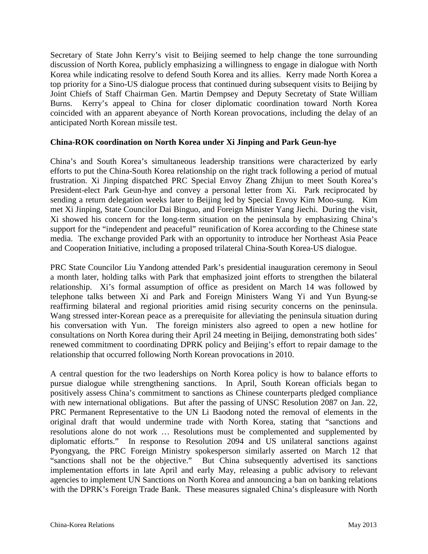Secretary of State John Kerry's visit to Beijing seemed to help change the tone surrounding discussion of North Korea, publicly emphasizing a willingness to engage in dialogue with North Korea while indicating resolve to defend South Korea and its allies. Kerry made North Korea a top priority for a Sino-US dialogue process that continued during subsequent visits to Beijing by Joint Chiefs of Staff Chairman Gen. Martin Dempsey and Deputy Secretaty of State William Burns. Kerry's appeal to China for closer diplomatic coordination toward North Korea coincided with an apparent abeyance of North Korean provocations, including the delay of an anticipated North Korean missile test.

#### **China-ROK coordination on North Korea under Xi Jinping and Park Geun-hye**

China's and South Korea's simultaneous leadership transitions were characterized by early efforts to put the China-South Korea relationship on the right track following a period of mutual frustration. Xi Jinping dispatched PRC Special Envoy Zhang Zhijun to meet South Korea's President-elect Park Geun-hye and convey a personal letter from Xi. Park reciprocated by sending a return delegation weeks later to Beijing led by Special Envoy Kim Moo-sung. Kim met Xi Jinping, State Councilor Dai Binguo, and Foreign Minister Yang Jiechi. During the visit, Xi showed his concern for the long-term situation on the peninsula by emphasizing China's support for the "independent and peaceful" reunification of Korea according to the Chinese state media. The exchange provided Park with an opportunity to introduce her Northeast Asia Peace and Cooperation Initiative, including a proposed trilateral China-South Korea-US dialogue.

PRC State Councilor Liu Yandong attended Park's presidential inauguration ceremony in Seoul a month later, holding talks with Park that emphasized joint efforts to strengthen the bilateral relationship. Xi's formal assumption of office as president on March 14 was followed by telephone talks between Xi and Park and Foreign Ministers Wang Yi and Yun Byung-se reaffirming bilateral and regional priorities amid rising security concerns on the peninsula. Wang stressed inter-Korean peace as a prerequisite for alleviating the peninsula situation during his conversation with Yun. The foreign ministers also agreed to open a new hotline for consultations on North Korea during their April 24 meeting in Beijing, demonstrating both sides' renewed commitment to coordinating DPRK policy and Beijing's effort to repair damage to the relationship that occurred following North Korean provocations in 2010.

A central question for the two leaderships on North Korea policy is how to balance efforts to pursue dialogue while strengthening sanctions. In April, South Korean officials began to positively assess China's commitment to sanctions as Chinese counterparts pledged compliance with new international obligations. But after the passing of UNSC Resolution 2087 on Jan. 22, PRC Permanent Representative to the UN Li Baodong noted the removal of elements in the original draft that would undermine trade with North Korea, stating that "sanctions and resolutions alone do not work … Resolutions must be complemented and supplemented by diplomatic efforts." In response to Resolution 2094 and US unilateral sanctions against Pyongyang, the PRC Foreign Ministry spokesperson similarly asserted on March 12 that "sanctions shall not be the objective." But China subsequently advertised its sanctions implementation efforts in late April and early May, releasing a public advisory to relevant agencies to implement UN Sanctions on North Korea and announcing a ban on banking relations with the DPRK's Foreign Trade Bank. These measures signaled China's displeasure with North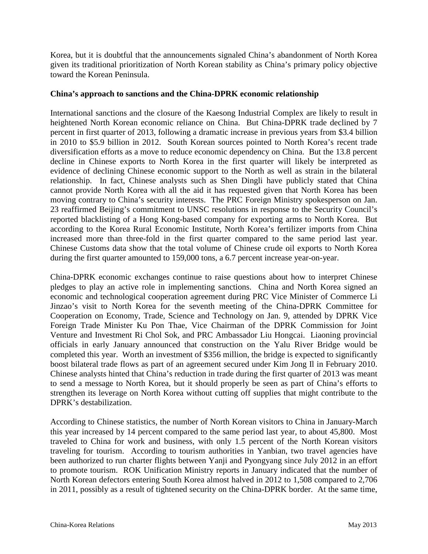Korea, but it is doubtful that the announcements signaled China's abandonment of North Korea given its traditional prioritization of North Korean stability as China's primary policy objective toward the Korean Peninsula.

#### **China's approach to sanctions and the China-DPRK economic relationship**

International sanctions and the closure of the Kaesong Industrial Complex are likely to result in heightened North Korean economic reliance on China. But China-DPRK trade declined by 7 percent in first quarter of 2013, following a dramatic increase in previous years from \$3.4 billion in 2010 to \$5.9 billion in 2012. South Korean sources pointed to North Korea's recent trade diversification efforts as a move to reduce economic dependency on China. But the 13.8 percent decline in Chinese exports to North Korea in the first quarter will likely be interpreted as evidence of declining Chinese economic support to the North as well as strain in the bilateral relationship. In fact, Chinese analysts such as Shen Dingli have publicly stated that China cannot provide North Korea with all the aid it has requested given that North Korea has been moving contrary to China's security interests. The PRC Foreign Ministry spokesperson on Jan. 23 reaffirmed Beijing's commitment to UNSC resolutions in response to the Security Council's reported blacklisting of a Hong Kong-based company for exporting arms to North Korea. But according to the Korea Rural Economic Institute, North Korea's fertilizer imports from China increased more than three-fold in the first quarter compared to the same period last year. Chinese Customs data show that the total volume of Chinese crude oil exports to North Korea during the first quarter amounted to 159,000 tons, a 6.7 percent increase year-on-year.

China-DPRK economic exchanges continue to raise questions about how to interpret Chinese pledges to play an active role in implementing sanctions. China and North Korea signed an economic and technological cooperation agreement during PRC Vice Minister of Commerce Li Jinzao's visit to North Korea for the seventh meeting of the China-DPRK Committee for Cooperation on Economy, Trade, Science and Technology on Jan. 9, attended by DPRK Vice Foreign Trade Minister Ku Pon Thae, Vice Chairman of the DPRK Commission for Joint Venture and Investment Ri Chol Sok, and PRC Ambassador Liu Hongcai. Liaoning provincial officials in early January announced that construction on the Yalu River Bridge would be completed this year. Worth an investment of \$356 million, the bridge is expected to significantly boost bilateral trade flows as part of an agreement secured under Kim Jong Il in February 2010. Chinese analysts hinted that China's reduction in trade during the first quarter of 2013 was meant to send a message to North Korea, but it should properly be seen as part of China's efforts to strengthen its leverage on North Korea without cutting off supplies that might contribute to the DPRK's destabilization.

According to Chinese statistics, the number of North Korean visitors to China in January-March this year increased by 14 percent compared to the same period last year, to about 45,800. Most traveled to China for work and business, with only 1.5 percent of the North Korean visitors traveling for tourism. According to tourism authorities in Yanbian, two travel agencies have been authorized to run charter flights between Yanji and Pyongyang since July 2012 in an effort to promote tourism. ROK Unification Ministry reports in January indicated that the number of North Korean defectors entering South Korea almost halved in 2012 to 1,508 compared to 2,706 in 2011, possibly as a result of tightened security on the China-DPRK border. At the same time,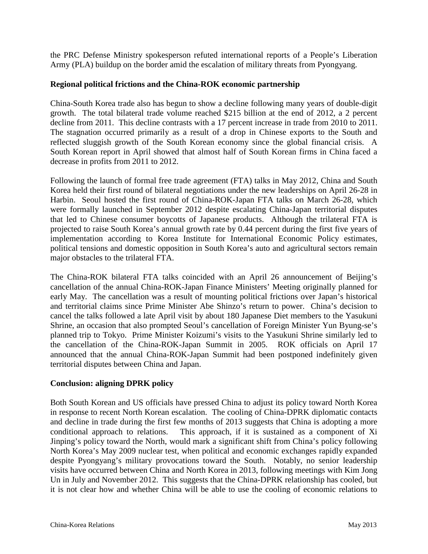the PRC Defense Ministry spokesperson refuted international reports of a People's Liberation Army (PLA) buildup on the border amid the escalation of military threats from Pyongyang.

#### **Regional political frictions and the China-ROK economic partnership**

China-South Korea trade also has begun to show a decline following many years of double-digit growth. The total bilateral trade volume reached \$215 billion at the end of 2012, a 2 percent decline from 2011. This decline contrasts with a 17 percent increase in trade from 2010 to 2011. The stagnation occurred primarily as a result of a drop in Chinese exports to the South and reflected sluggish growth of the South Korean economy since the global financial crisis. A South Korean report in April showed that almost half of South Korean firms in China faced a decrease in profits from 2011 to 2012.

Following the launch of formal free trade agreement (FTA) talks in May 2012, China and South Korea held their first round of bilateral negotiations under the new leaderships on April 26-28 in Harbin. Seoul hosted the first round of China-ROK-Japan FTA talks on March 26-28, which were formally launched in September 2012 despite escalating China-Japan territorial disputes that led to Chinese consumer boycotts of Japanese products. Although the trilateral FTA is projected to raise South Korea's annual growth rate by 0.44 percent during the first five years of implementation according to Korea Institute for International Economic Policy estimates, political tensions and domestic opposition in South Korea's auto and agricultural sectors remain major obstacles to the trilateral FTA.

The China-ROK bilateral FTA talks coincided with an April 26 announcement of Beijing's cancellation of the annual China-ROK-Japan Finance Ministers' Meeting originally planned for early May. The cancellation was a result of mounting political frictions over Japan's historical and territorial claims since Prime Minister Abe Shinzo's return to power. China's decision to cancel the talks followed a late April visit by about 180 Japanese Diet members to the Yasukuni Shrine, an occasion that also prompted Seoul's cancellation of Foreign Minister Yun Byung-se's planned trip to Tokyo. Prime Minister Koizumi's visits to the Yasukuni Shrine similarly led to the cancellation of the China-ROK-Japan Summit in 2005. ROK officials on April 17 announced that the annual China-ROK-Japan Summit had been postponed indefinitely given territorial disputes between China and Japan.

#### **Conclusion: aligning DPRK policy**

Both South Korean and US officials have pressed China to adjust its policy toward North Korea in response to recent North Korean escalation. The cooling of China-DPRK diplomatic contacts and decline in trade during the first few months of 2013 suggests that China is adopting a more conditional approach to relations. This approach, if it is sustained as a component of Xi Jinping's policy toward the North, would mark a significant shift from China's policy following North Korea's May 2009 nuclear test, when political and economic exchanges rapidly expanded despite Pyongyang's military provocations toward the South. Notably, no senior leadership visits have occurred between China and North Korea in 2013, following meetings with Kim Jong Un in July and November 2012. This suggests that the China-DPRK relationship has cooled, but it is not clear how and whether China will be able to use the cooling of economic relations to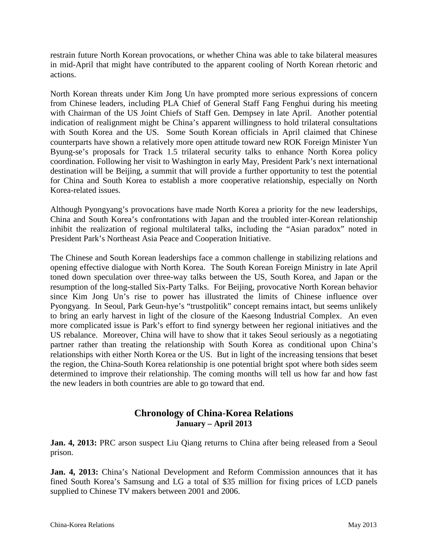restrain future North Korean provocations, or whether China was able to take bilateral measures in mid-April that might have contributed to the apparent cooling of North Korean rhetoric and actions.

North Korean threats under Kim Jong Un have prompted more serious expressions of concern from Chinese leaders, including PLA Chief of General Staff Fang Fenghui during his meeting with Chairman of the US Joint Chiefs of Staff Gen. Dempsey in late April. Another potential indication of realignment might be China's apparent willingness to hold trilateral consultations with South Korea and the US. Some South Korean officials in April claimed that Chinese counterparts have shown a relatively more open attitude toward new ROK Foreign Minister Yun Byung-se's proposals for Track 1.5 trilateral security talks to enhance North Korea policy coordination. Following her visit to Washington in early May, President Park's next international destination will be Beijing, a summit that will provide a further opportunity to test the potential for China and South Korea to establish a more cooperative relationship, especially on North Korea-related issues.

Although Pyongyang's provocations have made North Korea a priority for the new leaderships, China and South Korea's confrontations with Japan and the troubled inter-Korean relationship inhibit the realization of regional multilateral talks, including the "Asian paradox" noted in President Park's Northeast Asia Peace and Cooperation Initiative.

The Chinese and South Korean leaderships face a common challenge in stabilizing relations and opening effective dialogue with North Korea. The South Korean Foreign Ministry in late April toned down speculation over three-way talks between the US, South Korea, and Japan or the resumption of the long-stalled Six-Party Talks. For Beijing, provocative North Korean behavior since Kim Jong Un's rise to power has illustrated the limits of Chinese influence over Pyongyang. In Seoul, Park Geun-hye's "trustpolitik" concept remains intact, but seems unlikely to bring an early harvest in light of the closure of the Kaesong Industrial Complex. An even more complicated issue is Park's effort to find synergy between her regional initiatives and the US rebalance. Moreover, China will have to show that it takes Seoul seriously as a negotiating partner rather than treating the relationship with South Korea as conditional upon China's relationships with either North Korea or the US. But in light of the increasing tensions that beset the region, the China-South Korea relationship is one potential bright spot where both sides seem determined to improve their relationship. The coming months will tell us how far and how fast the new leaders in both countries are able to go toward that end.

### **Chronology of China-Korea Relations January – April 2013**

**Jan. 4, 2013:** PRC arson suspect Liu Qiang returns to China after being released from a Seoul prison.

**Jan. 4, 2013:** China's National Development and Reform Commission announces that it has fined South Korea's Samsung and LG a total of \$35 million for fixing prices of LCD panels supplied to Chinese TV makers between 2001 and 2006.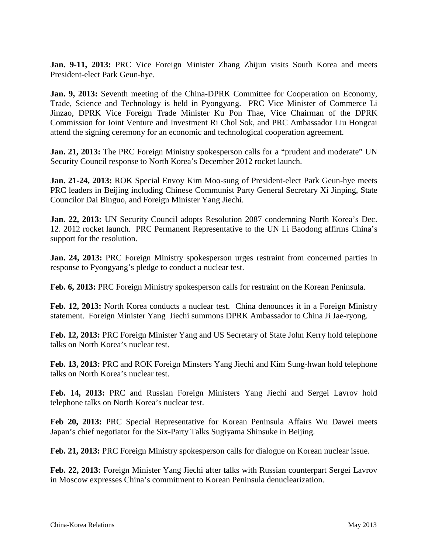**Jan. 9-11, 2013:** PRC Vice Foreign Minister Zhang Zhijun visits South Korea and meets President-elect Park Geun-hye.

**Jan. 9, 2013:** Seventh meeting of the China-DPRK Committee for Cooperation on Economy, Trade, Science and Technology is held in Pyongyang. PRC Vice Minister of Commerce Li Jinzao, DPRK Vice Foreign Trade Minister Ku Pon Thae, Vice Chairman of the DPRK Commission for Joint Venture and Investment Ri Chol Sok, and PRC Ambassador Liu Hongcai attend the signing ceremony for an economic and technological cooperation agreement.

**Jan.** 21, 2013: The PRC Foreign Ministry spokesperson calls for a "prudent and moderate" UN Security Council response to North Korea's December 2012 rocket launch.

**Jan. 21-24, 2013:** ROK Special Envoy Kim Moo-sung of President-elect Park Geun-hye meets PRC leaders in Beijing including Chinese Communist Party General Secretary Xi Jinping, State Councilor Dai Binguo, and Foreign Minister Yang Jiechi.

**Jan. 22, 2013:** UN Security Council adopts Resolution 2087 condemning North Korea's Dec. 12. 2012 rocket launch. PRC Permanent Representative to the UN Li Baodong affirms China's support for the resolution.

**Jan. 24, 2013:** PRC Foreign Ministry spokesperson urges restraint from concerned parties in response to Pyongyang's pledge to conduct a nuclear test.

**Feb. 6, 2013:** PRC Foreign Ministry spokesperson calls for restraint on the Korean Peninsula.

**Feb. 12, 2013:** North Korea conducts a nuclear test. China denounces it in a Foreign Ministry statement. Foreign Minister Yang Jiechi summons DPRK Ambassador to China Ji Jae-ryong.

**Feb. 12, 2013:** PRC Foreign Minister Yang and US Secretary of State John Kerry hold telephone talks on North Korea's nuclear test.

**Feb. 13, 2013:** PRC and ROK Foreign Minsters Yang Jiechi and Kim Sung-hwan hold telephone talks on North Korea's nuclear test.

**Feb. 14, 2013:** PRC and Russian Foreign Ministers Yang Jiechi and Sergei Lavrov hold telephone talks on North Korea's nuclear test.

**Feb 20, 2013:** PRC Special Representative for Korean Peninsula Affairs Wu Dawei meets Japan's chief negotiator for the Six-Party Talks Sugiyama Shinsuke in Beijing.

**Feb. 21, 2013:** PRC Foreign Ministry spokesperson calls for dialogue on Korean nuclear issue.

**Feb. 22, 2013:** Foreign Minister Yang Jiechi after talks with Russian counterpart Sergei Lavrov in Moscow expresses China's commitment to Korean Peninsula denuclearization.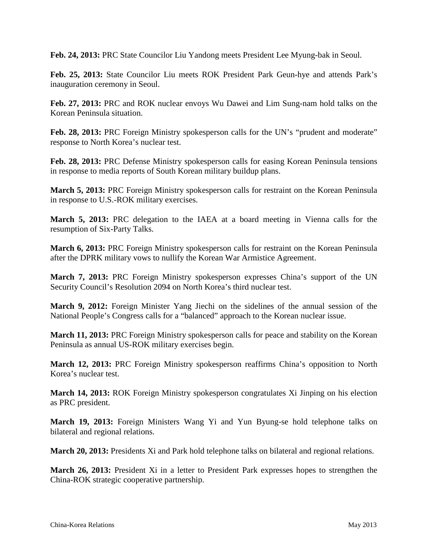**Feb. 24, 2013:** PRC State Councilor Liu Yandong meets President Lee Myung-bak in Seoul.

**Feb. 25, 2013:** State Councilor Liu meets ROK President Park Geun-hye and attends Park's inauguration ceremony in Seoul.

**Feb. 27, 2013:** PRC and ROK nuclear envoys Wu Dawei and Lim Sung-nam hold talks on the Korean Peninsula situation.

**Feb. 28, 2013:** PRC Foreign Ministry spokesperson calls for the UN's "prudent and moderate" response to North Korea's nuclear test.

**Feb. 28, 2013:** PRC Defense Ministry spokesperson calls for easing Korean Peninsula tensions in response to media reports of South Korean military buildup plans.

**March 5, 2013:** PRC Foreign Ministry spokesperson calls for restraint on the Korean Peninsula in response to U.S.-ROK military exercises.

**March 5, 2013:** PRC delegation to the IAEA at a board meeting in Vienna calls for the resumption of Six-Party Talks.

**March 6, 2013:** PRC Foreign Ministry spokesperson calls for restraint on the Korean Peninsula after the DPRK military vows to nullify the Korean War Armistice Agreement.

**March 7, 2013:** PRC Foreign Ministry spokesperson expresses China's support of the UN Security Council's Resolution 2094 on North Korea's third nuclear test.

**March 9, 2012:** Foreign Minister Yang Jiechi on the sidelines of the annual session of the National People's Congress calls for a "balanced" approach to the Korean nuclear issue.

**March 11, 2013:** PRC Foreign Ministry spokesperson calls for peace and stability on the Korean Peninsula as annual US-ROK military exercises begin.

**March 12, 2013:** PRC Foreign Ministry spokesperson reaffirms China's opposition to North Korea's nuclear test.

**March 14, 2013:** ROK Foreign Ministry spokesperson congratulates Xi Jinping on his election as PRC president.

**March 19, 2013:** Foreign Ministers Wang Yi and Yun Byung-se hold telephone talks on bilateral and regional relations.

**March 20, 2013:** Presidents Xi and Park hold telephone talks on bilateral and regional relations.

**March 26, 2013:** President Xi in a letter to President Park expresses hopes to strengthen the China-ROK strategic cooperative partnership.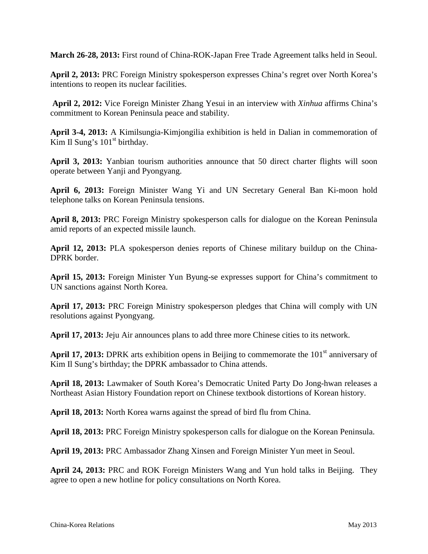**March 26-28, 2013:** First round of China-ROK-Japan Free Trade Agreement talks held in Seoul.

**April 2, 2013:** PRC Foreign Ministry spokesperson expresses China's regret over North Korea's intentions to reopen its nuclear facilities.

**April 2, 2012:** Vice Foreign Minister Zhang Yesui in an interview with *Xinhua* affirms China's commitment to Korean Peninsula peace and stability.

**April 3-4, 2013:** A Kimilsungia-Kimjongilia exhibition is held in Dalian in commemoration of Kim Il Sung's  $101<sup>st</sup>$  birthday.

**April 3, 2013:** Yanbian tourism authorities announce that 50 direct charter flights will soon operate between Yanji and Pyongyang.

**April 6, 2013:** Foreign Minister Wang Yi and UN Secretary General Ban Ki-moon hold telephone talks on Korean Peninsula tensions.

**April 8, 2013:** PRC Foreign Ministry spokesperson calls for dialogue on the Korean Peninsula amid reports of an expected missile launch.

**April 12, 2013:** PLA spokesperson denies reports of Chinese military buildup on the China-DPRK border.

**April 15, 2013:** Foreign Minister Yun Byung-se expresses support for China's commitment to UN sanctions against North Korea.

**April 17, 2013:** PRC Foreign Ministry spokesperson pledges that China will comply with UN resolutions against Pyongyang.

**April 17, 2013:** Jeju Air announces plans to add three more Chinese cities to its network.

April 17, 2013: DPRK arts exhibition opens in Beijing to commemorate the 101<sup>st</sup> anniversary of Kim Il Sung's birthday; the DPRK ambassador to China attends.

**April 18, 2013:** Lawmaker of South Korea's Democratic United Party Do Jong-hwan releases a Northeast Asian History Foundation report on Chinese textbook distortions of Korean history.

**April 18, 2013:** North Korea warns against the spread of bird flu from China.

**April 18, 2013:** PRC Foreign Ministry spokesperson calls for dialogue on the Korean Peninsula.

**April 19, 2013:** PRC Ambassador Zhang Xinsen and Foreign Minister Yun meet in Seoul.

**April 24, 2013:** PRC and ROK Foreign Ministers Wang and Yun hold talks in Beijing. They agree to open a new hotline for policy consultations on North Korea.